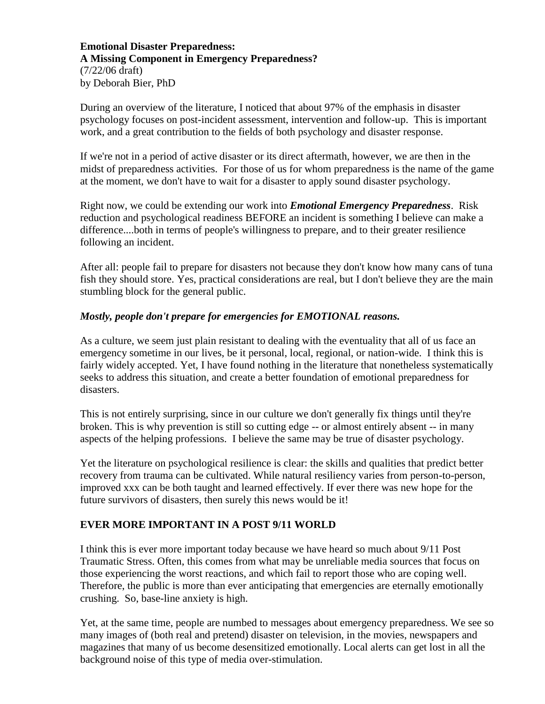**Emotional Disaster Preparedness: A Missing Component in Emergency Preparedness?** (7/22/06 draft) by Deborah Bier, PhD

During an overview of the literature, I noticed that about 97% of the emphasis in disaster psychology focuses on post-incident assessment, intervention and follow-up. This is important work, and a great contribution to the fields of both psychology and disaster response.

If we're not in a period of active disaster or its direct aftermath, however, we are then in the midst of preparedness activities. For those of us for whom preparedness is the name of the game at the moment, we don't have to wait for a disaster to apply sound disaster psychology.

Right now, we could be extending our work into *Emotional Emergency Preparedness*. Risk reduction and psychological readiness BEFORE an incident is something I believe can make a difference....both in terms of people's willingness to prepare, and to their greater resilience following an incident.

After all: people fail to prepare for disasters not because they don't know how many cans of tuna fish they should store. Yes, practical considerations are real, but I don't believe they are the main stumbling block for the general public.

## *Mostly, people don't prepare for emergencies for EMOTIONAL reasons.*

As a culture, we seem just plain resistant to dealing with the eventuality that all of us face an emergency sometime in our lives, be it personal, local, regional, or nation-wide. I think this is fairly widely accepted. Yet, I have found nothing in the literature that nonetheless systematically seeks to address this situation, and create a better foundation of emotional preparedness for disasters.

This is not entirely surprising, since in our culture we don't generally fix things until they're broken. This is why prevention is still so cutting edge -- or almost entirely absent -- in many aspects of the helping professions. I believe the same may be true of disaster psychology.

Yet the literature on psychological resilience is clear: the skills and qualities that predict better recovery from trauma can be cultivated. While natural resiliency varies from person-to-person, improved xxx can be both taught and learned effectively. If ever there was new hope for the future survivors of disasters, then surely this news would be it!

## **EVER MORE IMPORTANT IN A POST 9/11 WORLD**

I think this is ever more important today because we have heard so much about 9/11 Post Traumatic Stress. Often, this comes from what may be unreliable media sources that focus on those experiencing the worst reactions, and which fail to report those who are coping well. Therefore, the public is more than ever anticipating that emergencies are eternally emotionally crushing. So, base-line anxiety is high.

Yet, at the same time, people are numbed to messages about emergency preparedness. We see so many images of (both real and pretend) disaster on television, in the movies, newspapers and magazines that many of us become desensitized emotionally. Local alerts can get lost in all the background noise of this type of media over-stimulation.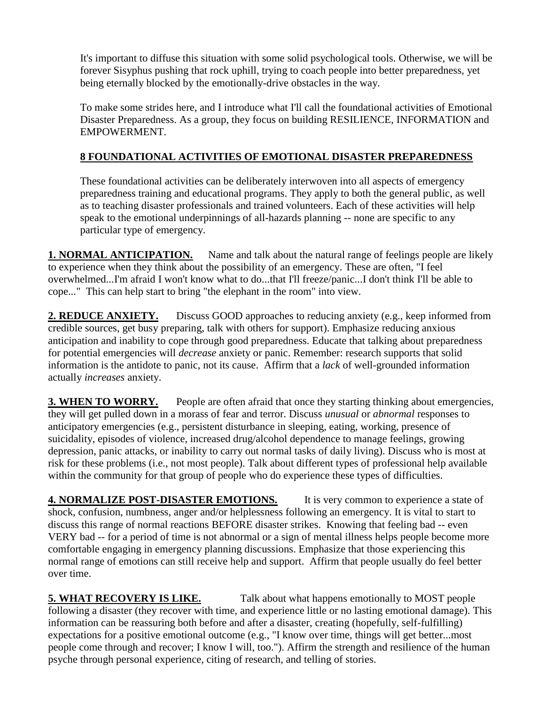It's important to diffuse this situation with some solid psychological tools. Otherwise, we will be forever Sisyphus pushing that rock uphill, trying to coach people into better preparedness, yet being eternally blocked by the emotionally-drive obstacles in the way.

To make some strides here, and I introduce what I'll call the foundational activities of Emotional Disaster Preparedness. As a group, they focus on building RESILIENCE, INFORMATION and EMPOWERMENT.

## **8 FOUNDATIONAL ACTIVITIES OF EMOTIONAL DISASTER PREPAREDNESS**

These foundational activities can be deliberately interwoven into all aspects of emergency preparedness training and educational programs. They apply to both the general public, as well as to teaching disaster professionals and trained volunteers. Each of these activities will help speak to the emotional underpinnings of all-hazards planning -- none are specific to any particular type of emergency.

**1. NORMAL ANTICIPATION.** Name and talk about the natural range of feelings people are likely to experience when they think about the possibility of an emergency. These are often, "I feel overwhelmed...I'm afraid I won't know what to do...that I'll freeze/panic...I don't think I'll be able to cope..." This can help start to bring "the elephant in the room" into view.

**2. REDUCE ANXIETY.** Discuss GOOD approaches to reducing anxiety (e.g., keep informed from credible sources, get busy preparing, talk with others for support). Emphasize reducing anxious anticipation and inability to cope through good preparedness. Educate that talking about preparedness for potential emergencies will *decrease* anxiety or panic. Remember: research supports that solid information is the antidote to panic, not its cause. Affirm that a *lack* of well-grounded information actually *increases* anxiety.

**3. WHEN TO WORRY.** People are often afraid that once they starting thinking about emergencies, they will get pulled down in a morass of fear and terror. Discuss *unusual* or *abnormal* responses to anticipatory emergencies (e.g., persistent disturbance in sleeping, eating, working, presence of suicidality, episodes of violence, increased drug/alcohol dependence to manage feelings, growing depression, panic attacks, or inability to carry out normal tasks of daily living). Discuss who is most at risk for these problems (i.e., not most people). Talk about different types of professional help available within the community for that group of people who do experience these types of difficulties.

**4. NORMALIZE POST-DISASTER EMOTIONS.** It is very common to experience a state of shock, confusion, numbness, anger and/or helplessness following an emergency. It is vital to start to discuss this range of normal reactions BEFORE disaster strikes. Knowing that feeling bad -- even VERY bad -- for a period of time is not abnormal or a sign of mental illness helps people become more comfortable engaging in emergency planning discussions. Emphasize that those experiencing this normal range of emotions can still receive help and support. Affirm that people usually do feel better over time.

**5. WHAT RECOVERY IS LIKE.** Talk about what happens emotionally to MOST people following a disaster (they recover with time, and experience little or no lasting emotional damage). This information can be reassuring both before and after a disaster, creating (hopefully, self-fulfilling) expectations for a positive emotional outcome (e.g., "I know over time, things will get better...most people come through and recover; I know I will, too."). Affirm the strength and resilience of the human psyche through personal experience, citing of research, and telling of stories.